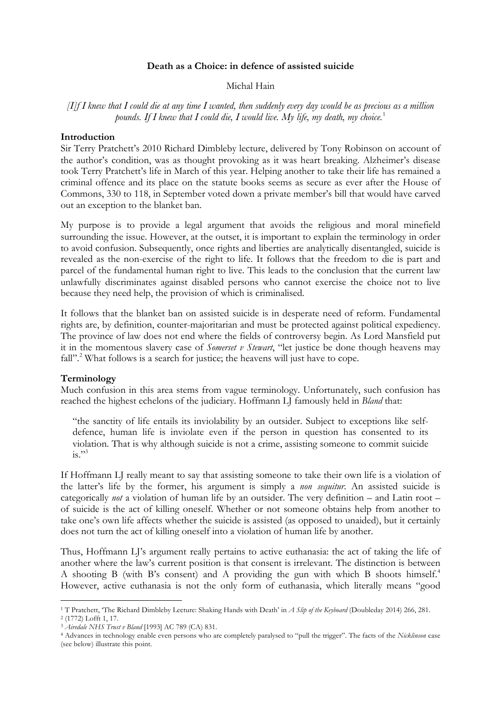## **Death as a Choice: in defence of assisted suicide**

#### Michal Hain

*[I]f I knew that I could die at any time I wanted, then suddenly every day would be as precious as a million pounds. If I knew that I could die, I would live. My life, my death, my choice.*<sup>1</sup>

#### **Introduction**

Sir Terry Pratchett's 2010 Richard Dimbleby lecture, delivered by Tony Robinson on account of the author's condition, was as thought provoking as it was heart breaking. Alzheimer's disease took Terry Pratchett's life in March of this year. Helping another to take their life has remained a criminal offence and its place on the statute books seems as secure as ever after the House of Commons, 330 to 118, in September voted down a private member's bill that would have carved out an exception to the blanket ban.

My purpose is to provide a legal argument that avoids the religious and moral minefield surrounding the issue. However, at the outset, it is important to explain the terminology in order to avoid confusion. Subsequently, once rights and liberties are analytically disentangled, suicide is revealed as the non-exercise of the right to life. It follows that the freedom to die is part and parcel of the fundamental human right to live. This leads to the conclusion that the current law unlawfully discriminates against disabled persons who cannot exercise the choice not to live because they need help, the provision of which is criminalised.

It follows that the blanket ban on assisted suicide is in desperate need of reform. Fundamental rights are, by definition, counter-majoritarian and must be protected against political expediency. The province of law does not end where the fields of controversy begin. As Lord Mansfield put it in the momentous slavery case of *Somerset v Stewart*, "let justice be done though heavens may fall"<sup>2</sup>. What follows is a search for justice; the heavens will just have to cope.

### **Terminology**

Much confusion in this area stems from vague terminology. Unfortunately, such confusion has reached the highest echelons of the judiciary. Hoffmann LJ famously held in *Bland* that:

"the sanctity of life entails its inviolability by an outsider. Subject to exceptions like selfdefence, human life is inviolate even if the person in question has consented to its violation. That is why although suicide is not a crime, assisting someone to commit suicide  $i_s$ <sup>33</sup>

If Hoffmann LJ really meant to say that assisting someone to take their own life is a violation of the latter's life by the former, his argument is simply a *non sequitur*. An assisted suicide is categorically *not* a violation of human life by an outsider. The very definition – and Latin root – of suicide is the act of killing oneself. Whether or not someone obtains help from another to take one's own life affects whether the suicide is assisted (as opposed to unaided), but it certainly does not turn the act of killing oneself into a violation of human life by another.

Thus, Hoffmann LJ's argument really pertains to active euthanasia: the act of taking the life of another where the law's current position is that consent is irrelevant. The distinction is between A shooting B (with B's consent) and A providing the gun with which B shoots himself.4 However, active euthanasia is not the only form of euthanasia, which literally means "good

 <sup>1</sup> T Pratchett, 'The Richard Dimbleby Lecture: Shaking Hands with Death' in *A Slip of the Keyboard* (Doubleday 2014) 266, 281. <sup>2</sup> (1772) Lofft 1, 17.

<sup>3</sup> *Airedale NHS Trust v Bland* [1993] AC 789 (CA) 831.

<sup>4</sup> Advances in technology enable even persons who are completely paralysed to "pull the trigger". The facts of the *Nicklinson* case (see below) illustrate this point.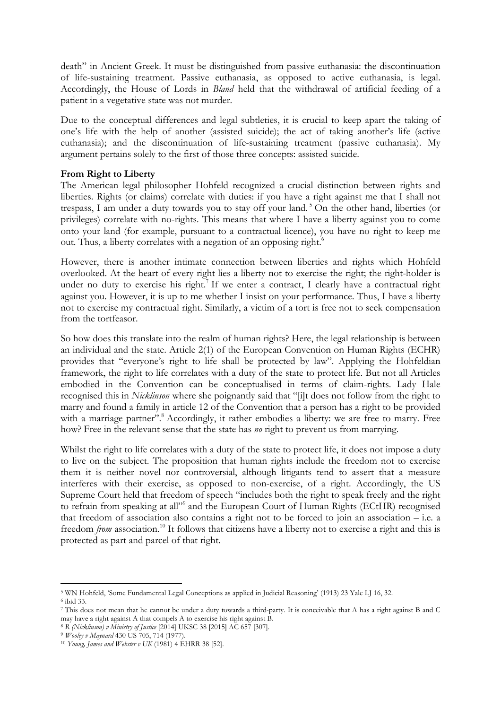death" in Ancient Greek. It must be distinguished from passive euthanasia: the discontinuation of life-sustaining treatment. Passive euthanasia, as opposed to active euthanasia, is legal. Accordingly, the House of Lords in *Bland* held that the withdrawal of artificial feeding of a patient in a vegetative state was not murder.

Due to the conceptual differences and legal subtleties, it is crucial to keep apart the taking of one's life with the help of another (assisted suicide); the act of taking another's life (active euthanasia); and the discontinuation of life-sustaining treatment (passive euthanasia). My argument pertains solely to the first of those three concepts: assisted suicide.

## **From Right to Liberty**

The American legal philosopher Hohfeld recognized a crucial distinction between rights and liberties. Rights (or claims) correlate with duties: if you have a right against me that I shall not trespass, I am under a duty towards you to stay off your land. <sup>5</sup> On the other hand, liberties (or privileges) correlate with no-rights. This means that where I have a liberty against you to come onto your land (for example, pursuant to a contractual licence), you have no right to keep me out. Thus, a liberty correlates with a negation of an opposing right.<sup>6</sup>

However, there is another intimate connection between liberties and rights which Hohfeld overlooked. At the heart of every right lies a liberty not to exercise the right; the right-holder is under no duty to exercise his right.<sup>7</sup> If we enter a contract, I clearly have a contractual right against you. However, it is up to me whether I insist on your performance. Thus, I have a liberty not to exercise my contractual right. Similarly, a victim of a tort is free not to seek compensation from the tortfeasor.

So how does this translate into the realm of human rights? Here, the legal relationship is between an individual and the state. Article 2(1) of the European Convention on Human Rights (ECHR) provides that "everyone's right to life shall be protected by law". Applying the Hohfeldian framework, the right to life correlates with a duty of the state to protect life. But not all Articles embodied in the Convention can be conceptualised in terms of claim-rights. Lady Hale recognised this in *Nicklinson* where she poignantly said that "[i]t does not follow from the right to marry and found a family in article 12 of the Convention that a person has a right to be provided with a marriage partner".<sup>8</sup> Accordingly, it rather embodies a liberty: we are free to marry. Free how? Free in the relevant sense that the state has *no* right to prevent us from marrying.

Whilst the right to life correlates with a duty of the state to protect life, it does not impose a duty to live on the subject. The proposition that human rights include the freedom not to exercise them it is neither novel nor controversial, although litigants tend to assert that a measure interferes with their exercise, as opposed to non-exercise, of a right. Accordingly, the US Supreme Court held that freedom of speech "includes both the right to speak freely and the right to refrain from speaking at all"<sup>9</sup> and the European Court of Human Rights (ECtHR) recognised that freedom of association also contains a right not to be forced to join an association – i.e. a freedom *from* association.<sup>10</sup> It follows that citizens have a liberty not to exercise a right and this is protected as part and parcel of that right.

 <sup>5</sup> WN Hohfeld, 'Some Fundamental Legal Conceptions as applied in Judicial Reasoning' (1913) 23 Yale LJ 16, 32. <sup>6</sup> ibid 33.

<sup>7</sup> This does not mean that he cannot be under a duty towards a third-party. It is conceivable that A has a right against B and C may have a right against A that compels A to exercise his right against B.

<sup>8</sup> *R (Nicklinson) v Ministry of Justice* [2014] UKSC 38 [2015] AC 657 [307].

<sup>9</sup> *Wooley v Maynard* 430 US 705, 714 (1977). 10 *Young, James and Webster v UK* (1981) 4 EHRR 38 [52].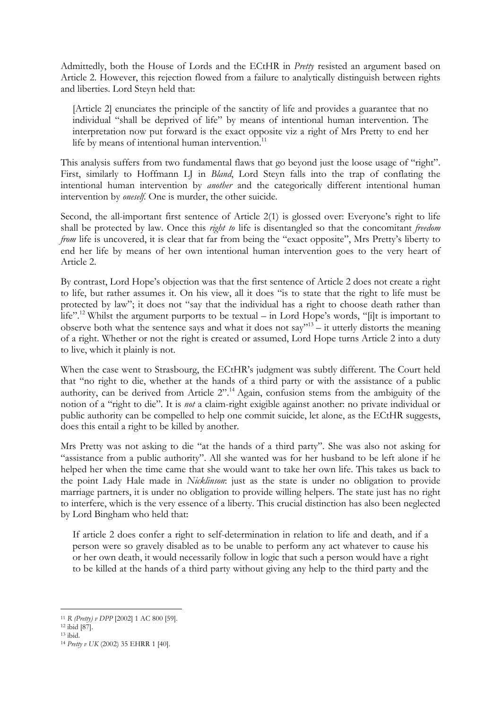Admittedly, both the House of Lords and the ECtHR in *Pretty* resisted an argument based on Article 2. However, this rejection flowed from a failure to analytically distinguish between rights and liberties. Lord Steyn held that:

[Article 2] enunciates the principle of the sanctity of life and provides a guarantee that no individual "shall be deprived of life" by means of intentional human intervention. The interpretation now put forward is the exact opposite viz a right of Mrs Pretty to end her life by means of intentional human intervention.<sup>11</sup>

This analysis suffers from two fundamental flaws that go beyond just the loose usage of "right". First, similarly to Hoffmann LJ in *Bland*, Lord Steyn falls into the trap of conflating the intentional human intervention by *another* and the categorically different intentional human intervention by *oneself.* One is murder, the other suicide.

Second, the all-important first sentence of Article 2(1) is glossed over: Everyone's right to life shall be protected by law. Once this *right to* life is disentangled so that the concomitant *freedom from* life is uncovered, it is clear that far from being the "exact opposite", Mrs Pretty's liberty to end her life by means of her own intentional human intervention goes to the very heart of Article 2.

By contrast, Lord Hope's objection was that the first sentence of Article 2 does not create a right to life, but rather assumes it. On his view, all it does "is to state that the right to life must be protected by law"; it does not "say that the individual has a right to choose death rather than life".<sup>12</sup> Whilst the argument purports to be textual – in Lord Hope's words, "[i]t is important to observe both what the sentence says and what it does not say<sup> $13$ </sup> – it utterly distorts the meaning of a right. Whether or not the right is created or assumed, Lord Hope turns Article 2 into a duty to live, which it plainly is not.

When the case went to Strasbourg, the ECtHR's judgment was subtly different. The Court held that "no right to die, whether at the hands of a third party or with the assistance of a public authority, can be derived from Article 2".<sup>14</sup> Again, confusion stems from the ambiguity of the notion of a "right to die". It is *not* a claim-right exigible against another: no private individual or public authority can be compelled to help one commit suicide, let alone, as the ECtHR suggests, does this entail a right to be killed by another.

Mrs Pretty was not asking to die "at the hands of a third party". She was also not asking for "assistance from a public authority". All she wanted was for her husband to be left alone if he helped her when the time came that she would want to take her own life. This takes us back to the point Lady Hale made in *Nicklinson*: just as the state is under no obligation to provide marriage partners, it is under no obligation to provide willing helpers. The state just has no right to interfere, which is the very essence of a liberty. This crucial distinction has also been neglected by Lord Bingham who held that:

If article 2 does confer a right to self-determination in relation to life and death, and if a person were so gravely disabled as to be unable to perform any act whatever to cause his or her own death, it would necessarily follow in logic that such a person would have a right to be killed at the hands of a third party without giving any help to the third party and the

 <sup>11</sup> *R (Pretty) v DPP* [2002] 1 AC 800 [59].

<sup>12</sup> ibid [87].

<sup>13</sup> ibid.

<sup>14</sup> *Pretty v UK* (2002) 35 EHRR 1 [40].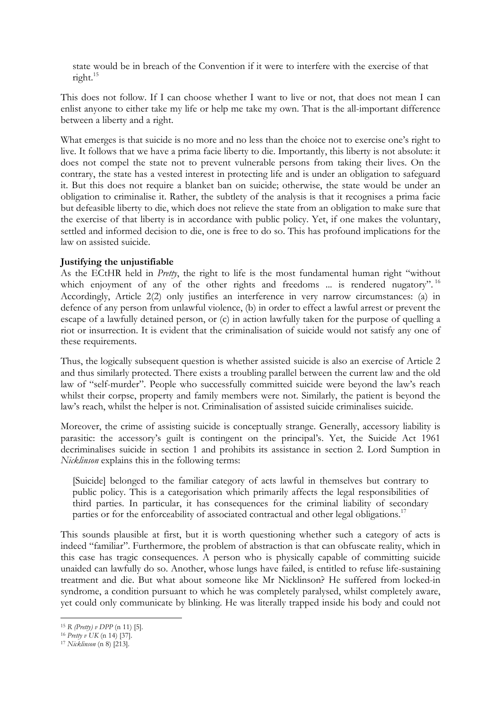state would be in breach of the Convention if it were to interfere with the exercise of that right.15

This does not follow. If I can choose whether I want to live or not, that does not mean I can enlist anyone to either take my life or help me take my own. That is the all-important difference between a liberty and a right.

What emerges is that suicide is no more and no less than the choice not to exercise one's right to live. It follows that we have a prima facie liberty to die. Importantly, this liberty is not absolute: it does not compel the state not to prevent vulnerable persons from taking their lives. On the contrary, the state has a vested interest in protecting life and is under an obligation to safeguard it. But this does not require a blanket ban on suicide; otherwise, the state would be under an obligation to criminalise it. Rather, the subtlety of the analysis is that it recognises a prima facie but defeasible liberty to die, which does not relieve the state from an obligation to make sure that the exercise of that liberty is in accordance with public policy. Yet, if one makes the voluntary, settled and informed decision to die, one is free to do so. This has profound implications for the law on assisted suicide.

# **Justifying the unjustifiable**

As the ECtHR held in *Pretty*, the right to life is the most fundamental human right "without which enjoyment of any of the other rights and freedoms ... is rendered nugatory".<sup>16</sup> Accordingly, Article 2(2) only justifies an interference in very narrow circumstances: (a) in defence of any person from unlawful violence, (b) in order to effect a lawful arrest or prevent the escape of a lawfully detained person, or (c) in action lawfully taken for the purpose of quelling a riot or insurrection. It is evident that the criminalisation of suicide would not satisfy any one of these requirements.

Thus, the logically subsequent question is whether assisted suicide is also an exercise of Article 2 and thus similarly protected. There exists a troubling parallel between the current law and the old law of "self-murder". People who successfully committed suicide were beyond the law's reach whilst their corpse, property and family members were not. Similarly, the patient is beyond the law's reach, whilst the helper is not. Criminalisation of assisted suicide criminalises suicide.

Moreover, the crime of assisting suicide is conceptually strange. Generally, accessory liability is parasitic: the accessory's guilt is contingent on the principal's. Yet, the Suicide Act 1961 decriminalises suicide in section 1 and prohibits its assistance in section 2. Lord Sumption in *Nicklinson* explains this in the following terms:

[Suicide] belonged to the familiar category of acts lawful in themselves but contrary to public policy. This is a categorisation which primarily affects the legal responsibilities of third parties. In particular, it has consequences for the criminal liability of secondary parties or for the enforceability of associated contractual and other legal obligations.<sup>17</sup>

This sounds plausible at first, but it is worth questioning whether such a category of acts is indeed "familiar". Furthermore, the problem of abstraction is that can obfuscate reality, which in this case has tragic consequences. A person who is physically capable of committing suicide unaided can lawfully do so. Another, whose lungs have failed, is entitled to refuse life-sustaining treatment and die. But what about someone like Mr Nicklinson? He suffered from locked-in syndrome, a condition pursuant to which he was completely paralysed, whilst completely aware, yet could only communicate by blinking. He was literally trapped inside his body and could not

 <sup>15</sup> *R (Pretty) v DPP* (n 11) [5].

<sup>16</sup> *Pretty v UK* (n 14) [37].

<sup>17</sup> *Nicklinson* (n 8) [213].